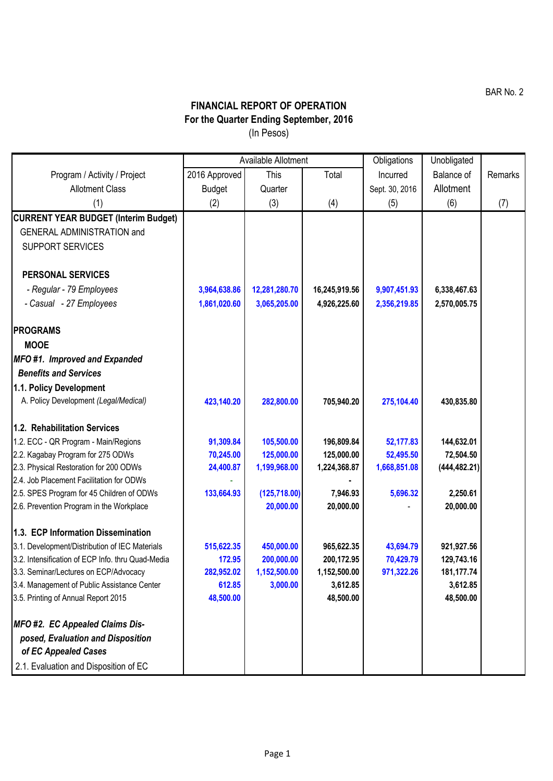BAR No. 2

## **FINANCIAL REPORT OF OPERATION For the Quarter Ending September, 2016** (In Pesos)

|                                                           | Available Allotment |               |                       | Obligations    | Unobligated           |         |
|-----------------------------------------------------------|---------------------|---------------|-----------------------|----------------|-----------------------|---------|
| Program / Activity / Project                              | 2016 Approved       | This          | Total                 | Incurred       | Balance of            | Remarks |
| <b>Allotment Class</b>                                    | <b>Budget</b>       | Quarter       |                       | Sept. 30, 2016 | Allotment             |         |
| (1)                                                       | (2)                 | (3)           | (4)                   | (5)            | (6)                   | (7)     |
| <b>CURRENT YEAR BUDGET (Interim Budget)</b>               |                     |               |                       |                |                       |         |
| <b>GENERAL ADMINISTRATION and</b>                         |                     |               |                       |                |                       |         |
| <b>SUPPORT SERVICES</b>                                   |                     |               |                       |                |                       |         |
|                                                           |                     |               |                       |                |                       |         |
| <b>PERSONAL SERVICES</b>                                  |                     |               |                       |                |                       |         |
| - Regular - 79 Employees                                  | 3,964,638.86        | 12,281,280.70 | 16,245,919.56         | 9,907,451.93   | 6,338,467.63          |         |
| - Casual - 27 Employees                                   | 1,861,020.60        | 3,065,205.00  | 4,926,225.60          | 2,356,219.85   | 2,570,005.75          |         |
|                                                           |                     |               |                       |                |                       |         |
| <b>PROGRAMS</b>                                           |                     |               |                       |                |                       |         |
| <b>MOOE</b>                                               |                     |               |                       |                |                       |         |
| MFO#1. Improved and Expanded                              |                     |               |                       |                |                       |         |
| <b>Benefits and Services</b>                              |                     |               |                       |                |                       |         |
| 1.1. Policy Development                                   |                     |               |                       |                |                       |         |
| A. Policy Development (Legal/Medical)                     | 423,140.20          | 282,800.00    | 705,940.20            | 275,104.40     | 430,835.80            |         |
|                                                           |                     |               |                       |                |                       |         |
| 1.2. Rehabilitation Services                              |                     |               |                       |                |                       |         |
| 1.2. ECC - QR Program - Main/Regions                      | 91,309.84           | 105,500.00    | 196,809.84            | 52,177.83      | 144,632.01            |         |
| 2.2. Kagabay Program for 275 ODWs                         | 70,245.00           | 125,000.00    | 125,000.00            | 52,495.50      | 72,504.50             |         |
| 2.3. Physical Restoration for 200 ODWs                    | 24,400.87           | 1,199,968.00  | 1,224,368.87          | 1,668,851.08   | (444, 482.21)         |         |
| 2.4. Job Placement Facilitation for ODWs                  |                     |               |                       |                |                       |         |
| 2.5. SPES Program for 45 Children of ODWs                 | 133,664.93          | (125, 718.00) | 7,946.93<br>20,000.00 | 5,696.32       | 2,250.61<br>20,000.00 |         |
| 2.6. Prevention Program in the Workplace                  |                     | 20,000.00     |                       |                |                       |         |
| 1.3. ECP Information Dissemination                        |                     |               |                       |                |                       |         |
| 3.1. Development/Distribution of IEC Materials            | 515,622.35          | 450,000.00    | 965,622.35            | 43,694.79      | 921,927.56            |         |
| 3.2. Intensification of ECP Info. thru Quad-Media         | 172.95              | 200,000.00    | 200,172.95            | 70,429.79      | 129,743.16            |         |
| 3.3. Seminar/Lectures on ECP/Advocacy                     | 282,952.02          | 1,152,500.00  | 1,152,500.00          | 971,322.26     | 181,177.74            |         |
| 3.4. Management of Public Assistance Center               | 612.85              | 3,000.00      | 3,612.85              |                | 3,612.85              |         |
| 3.5. Printing of Annual Report 2015                       | 48,500.00           |               | 48,500.00             |                | 48,500.00             |         |
|                                                           |                     |               |                       |                |                       |         |
| MFO #2. EC Appealed Claims Dis-                           |                     |               |                       |                |                       |         |
| posed, Evaluation and Disposition<br>of EC Appealed Cases |                     |               |                       |                |                       |         |
| 2.1. Evaluation and Disposition of EC                     |                     |               |                       |                |                       |         |